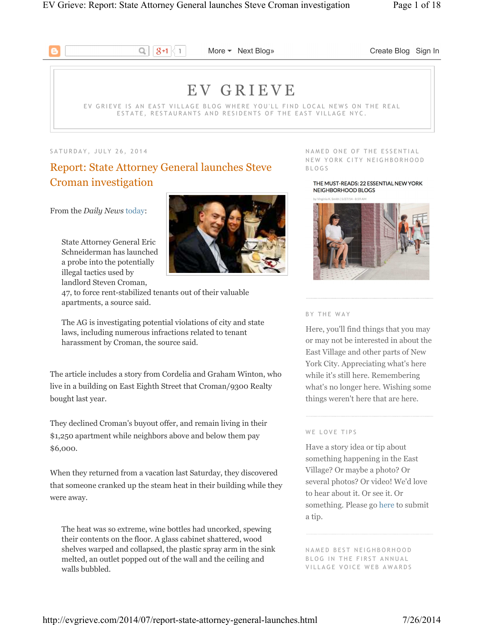

 $\boxed{8+1}$  More  $\blacktriangledown$  Next Blog» Create Blog Sign In

# E V G R I E V E

EV GRIEVE IS AN EAST VILLAGE BLOG WHERE YOU'LL FIND LOCAL NEWS ON THE REAL ESTATE, RESTAURANTS AND RESIDENTS OF THE EAST VILLAGE NYC.

SATURDAY, JULY 26, 2014

# Report: State Attorney General launches Steve Croman investigation

From the *Daily News* today:

State Attorney General Eric Schneiderman has launched a probe into the potentially illegal tactics used by landlord Steven Croman,



47, to force rent-stabilized tenants out of their valuable apartments, a source said.

The AG is investigating potential violations of city and state laws, including numerous infractions related to tenant harassment by Croman, the source said.

The article includes a story from Cordelia and Graham Winton, who live in a building on East Eighth Street that Croman/9300 Realty bought last year.

They declined Croman's buyout offer, and remain living in their \$1,250 apartment while neighbors above and below them pay \$6,000.

When they returned from a vacation last Saturday, they discovered that someone cranked up the steam heat in their building while they were away.

The heat was so extreme, wine bottles had uncorked, spewing their contents on the floor. A glass cabinet shattered, wood shelves warped and collapsed, the plastic spray arm in the sink melted, an outlet popped out of the wall and the ceiling and walls bubbled.

NAMED ONE OF THE ESSENTIAL NEW YORK CITY NEIGHBORHOOD B L O G S

THE MUST-READS: 22 ESSENTIAL NEW YORK NEIGHBORHOOD BLOGS



### B Y T H E W A Y

Here, you'll find things that you may or may not be interested in about the East Village and other parts of New York City. Appreciating what's here while it's still here. Remembering what's no longer here. Wishing some things weren't here that are here.

### WE LOVE TIPS

Have a story idea or tip about something happening in the East Village? Or maybe a photo? Or several photos? Or video! We'd love to hear about it. Or see it. Or something. Please go here to submit a tip.

NAMED BEST NEIGHBORHOOD BLOG IN THE FIRST ANNUAL VILLAGE VOICE WEB AWARDS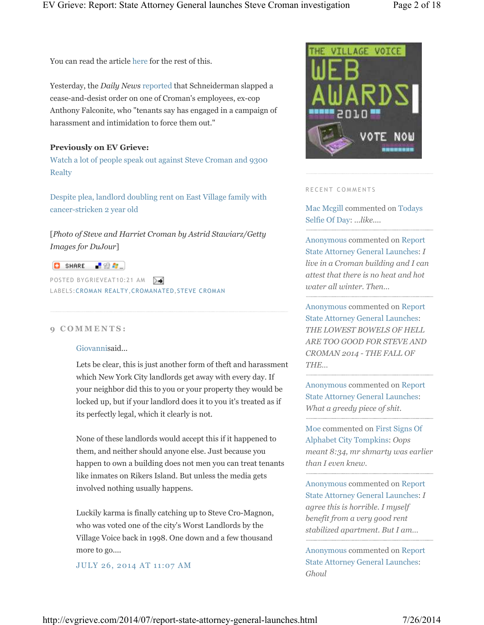You can read the article here for the rest of this.

Yesterday, the *Daily News* reported that Schneiderman slapped a cease-and-desist order on one of Croman's employees, ex-cop Anthony Falconite, who "tenants say has engaged in a campaign of harassment and intimidation to force them out."

### **Previously on EV Grieve:**

Watch a lot of people speak out against Steve Croman and 9300 **Realty** 

Despite plea, landlord doubling rent on East Village family with cancer-stricken 2 year old

[*Photo of Steve and Harriet Croman by Astrid Stawiarz/Getty Images for DuJour*]

## **O** SHARE **R** & C

POSTED BYGRIEVEAT10:21 AM LABELS:CROMAN REALTY,CROMANATED,STEVE CROMAN

### **9 C O M M E N T S :**

### Giovannisaid...

Lets be clear, this is just another form of theft and harassment which New York City landlords get away with every day. If your neighbor did this to you or your property they would be locked up, but if your landlord does it to you it's treated as if its perfectly legal, which it clearly is not.

None of these landlords would accept this if it happened to them, and neither should anyone else. Just because you happen to own a building does not men you can treat tenants like inmates on Rikers Island. But unless the media gets involved nothing usually happens.

Luckily karma is finally catching up to Steve Cro-Magnon, who was voted one of the city's Worst Landlords by the Village Voice back in 1998. One down and a few thousand more to go....

JULY 26, 2014 AT 11:07 AM



#### RECENT COMMENTS

Mac Mcgill commented on Todays Selfie Of Day: *...like....*

Anonymous commented on Report State Attorney General Launches: *I live in a Croman building and I can attest that there is no heat and hot water all winter. Then…*

Anonymous commented on Report State Attorney General Launches: *THE LOWEST BOWELS OF HELL ARE TOO GOOD FOR STEVE AND CROMAN 2014 - THE FALL OF THE…*

Anonymous commented on Report State Attorney General Launches: *What a greedy piece of shit.* 

Moe commented on First Signs Of Alphabet City Tompkins: *Oops meant 8:34, mr shmarty was earlier than I even knew.*

Anonymous commented on Report State Attorney General Launches: *I agree this is horrible. I myself benefit from a very good rent stabilized apartment. But I am…*

Anonymous commented on Report State Attorney General Launches: *Ghoul*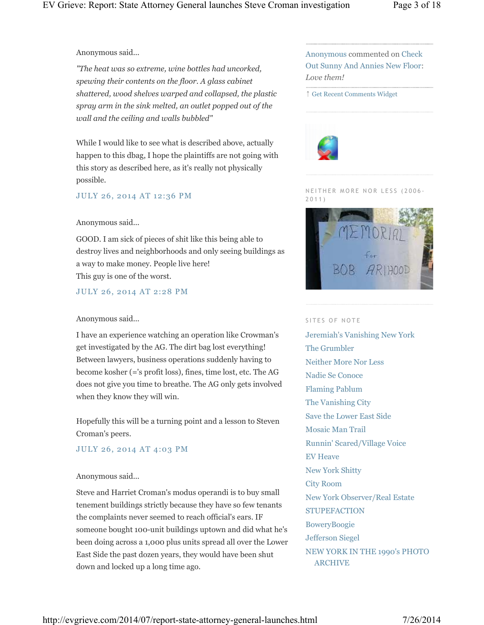Anonymous said...

*"The heat was so extreme, wine bottles had uncorked, spewing their contents on the floor. A glass cabinet shattered, wood shelves warped and collapsed, the plastic spray arm in the sink melted, an outlet popped out of the wall and the ceiling and walls bubbled"*

While I would like to see what is described above, actually happen to this dbag, I hope the plaintiffs are not going with this story as described here, as it's really not physically possible.

JULY 26, 2014 AT 12:36 PM

### Anonymous said...

GOOD. I am sick of pieces of shit like this being able to destroy lives and neighborhoods and only seeing buildings as a way to make money. People live here! This guy is one of the worst.

JULY 26, 2014 AT 2:28 PM

### Anonymous said...

I have an experience watching an operation like Crowman's get investigated by the AG. The dirt bag lost everything! Between lawyers, business operations suddenly having to become kosher (='s profit loss), fines, time lost, etc. The AG does not give you time to breathe. The AG only gets involved when they know they will win.

Hopefully this will be a turning point and a lesson to Steven Croman's peers.

### JULY 26, 2014 AT 4:03 PM

### Anonymous said...

Steve and Harriet Croman's modus operandi is to buy small tenement buildings strictly because they have so few tenants the complaints never seemed to reach official's ears. IF someone bought 100-unit buildings uptown and did what he's been doing across a 1,000 plus units spread all over the Lower East Side the past dozen years, they would have been shut down and locked up a long time ago.

Anonymous commented on Check Out Sunny And Annies New Floor: *Love them!*

↑ Get Recent Comments Widget



NEITHER MORE NOR LESS (2006-2 0 1 1 )



### SITES OF NOTE

Jeremiah's Vanishing New York The Grumbler Neither More Nor Less Nadie Se Conoce Flaming Pablum The Vanishing City Save the Lower East Side Mosaic Man Trail Runnin' Scared/Village Voice EV Heave New York Shitty City Room New York Observer/Real Estate **STUPEFACTION BoweryBoogie** Jefferson Siegel NEW YORK IN THE 1990's PHOTO ARCHIVE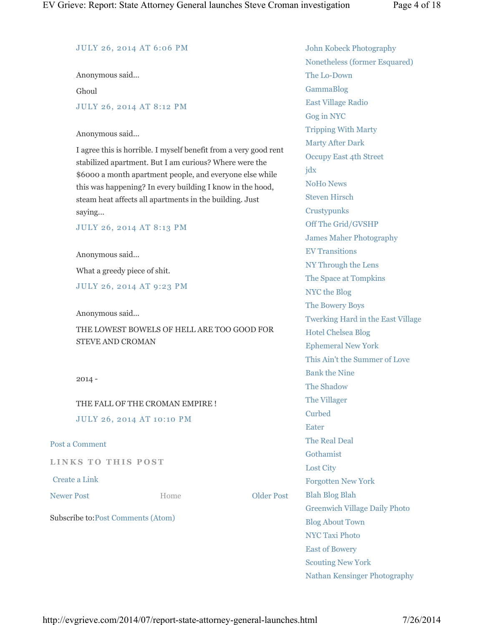### JULY 26, 2014 AT 6:06 PM

Anonymous said...

Ghoul

### JULY 26, 2014 AT 8:12 PM

### Anonymous said...

I agree this is horrible. I myself benefit from a very good rent stabilized apartment. But I am curious? Where were the \$6000 a month apartment people, and everyone else while this was happening? In every building I know in the hood, steam heat affects all apartments in the building. Just saying...

JULY 26, 2014 AT 8:13 PM

Anonymous said...

What a greedy piece of shit.

JULY 26, 2014 AT 9:23 PM

Anonymous said...

THE LOWEST BOWELS OF HELL ARE TOO GOOD FOR STEVE AND CROMAN

2014 -

# THE FALL OF THE CROMAN EMPIRE ! JULY 26, 2014 AT 10:10 PM

Post a Comment

**LINKS TO THIS POST** 

Create a Link

Newer Post **COMPOSE EXECUTE:** Home **Older Post** 

Home

Subscribe to:Post Comments (Atom)

John Kobeck Photography Nonetheless (former Esquared) The Lo-Down GammaBlog East Village Radio Gog in NYC Tripping With Marty Marty After Dark Occupy East 4th Street jdx NoHo News Steven Hirsch **Crustypunks** Off The Grid/GVSHP James Maher Photography EV Transitions NY Through the Lens The Space at Tompkins NYC the Blog The Bowery Boys Twerking Hard in the East Village Hotel Chelsea Blog Ephemeral New York This Ain't the Summer of Love Bank the Nine The Shadow The Villager Curbed Eater The Real Deal Gothamist Lost City Forgotten New York Blah Blog Blah Greenwich Village Daily Photo Blog About Town NYC Taxi Photo East of Bowery Scouting New York

Nathan Kensinger Photography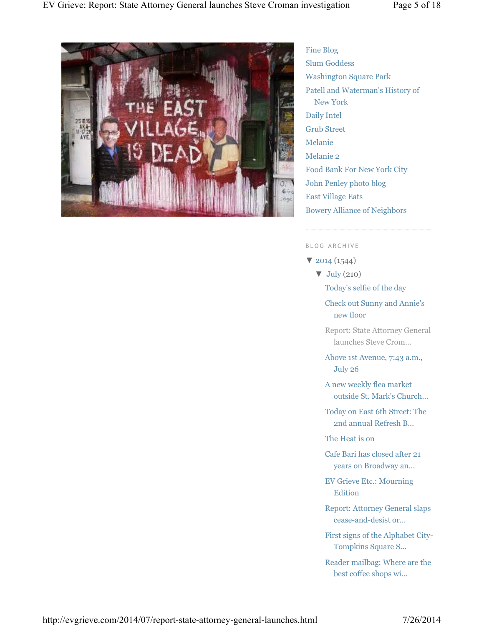

Fine Blog Slum Goddess Washington Square Park Patell and Waterman's History of New York Daily Intel Grub Street Melanie Melanie 2 Food Bank For New York City John Penley photo blog East Village Eats Bowery Alliance of Neighbors

#### B L O G A R C H I V E

▼ 2014 (1544)

 $\nabla$  July (210)

- Today's selfie of the day
- Check out Sunny and Annie's new floor
- Report: State Attorney General launches Steve Crom...
- Above 1st Avenue, 7:43 a.m., July 26
- A new weekly flea market outside St. Mark's Church...
- Today on East 6th Street: The 2nd annual Refresh B...
- The Heat is on
- Cafe Bari has closed after 21 years on Broadway an...
- EV Grieve Etc.: Mourning **Edition**
- Report: Attorney General slaps cease-and-desist or...
- First signs of the Alphabet City-Tompkins Square S...
- Reader mailbag: Where are the best coffee shops wi...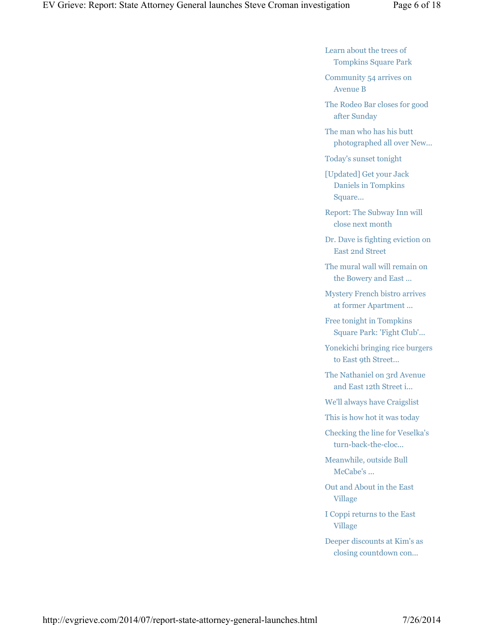Learn about the trees of Tompkins Square Park

Community 54 arrives on Avenue B

The Rodeo Bar closes for good after Sunday

The man who has his butt photographed all over New...

Today's sunset tonight

[Updated] Get your Jack Daniels in Tompkins Square...

Report: The Subway Inn will close next month

Dr. Dave is fighting eviction on East 2nd Street

The mural wall will remain on the Bowery and East ...

Mystery French bistro arrives at former Apartment ...

Free tonight in Tompkins Square Park: 'Fight Club'...

Yonekichi bringing rice burgers to East 9th Street...

The Nathaniel on 3rd Avenue and East 12th Street i...

We'll always have Craigslist

This is how hot it was today

Checking the line for Veselka's turn-back-the-cloc...

Meanwhile, outside Bull McCabe's ...

Out and About in the East Village

I Coppi returns to the East Village

Deeper discounts at Kim's as closing countdown con...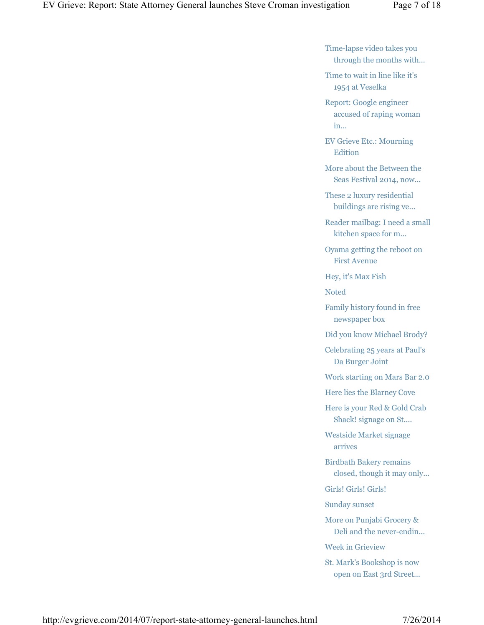Time-lapse video takes you through the months with...

Time to wait in line like it's 1954 at Veselka

Report: Google engineer accused of raping woman in...

EV Grieve Etc.: Mourning Edition

More about the Between the Seas Festival 2014, now...

These 2 luxury residential buildings are rising ve...

Reader mailbag: I need a small kitchen space for m...

Oyama getting the reboot on First Avenue

Hey, it's Max Fish

Noted

Family history found in free newspaper box

Did you know Michael Brody?

Celebrating 25 years at Paul's Da Burger Joint

Work starting on Mars Bar 2.0

Here lies the Blarney Cove

Here is your Red & Gold Crab Shack! signage on St....

Westside Market signage arrives

Birdbath Bakery remains closed, though it may only...

Girls! Girls! Girls!

Sunday sunset

More on Punjabi Grocery & Deli and the never-endin...

Week in Grieview

St. Mark's Bookshop is now open on East 3rd Street...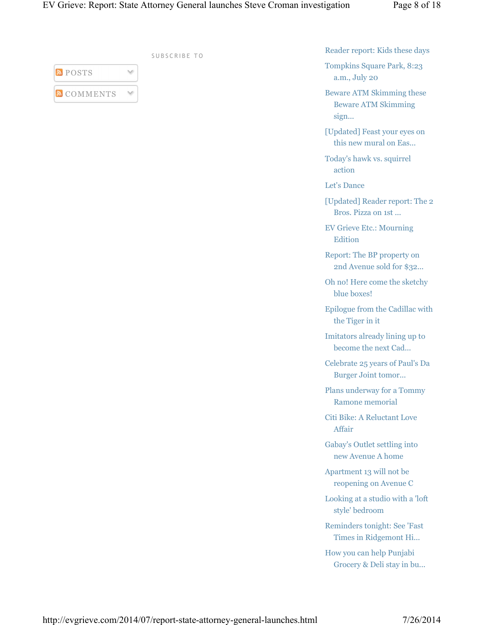| <b>POSTS</b>      |  |
|-------------------|--|
| <b>N</b> COMMENTS |  |

SUBSCRIBE TO

Reader report: Kids these days

Tompkins Square Park, 8:23 a.m., July 20

Beware ATM Skimming these Beware ATM Skimming sign...

[Updated] Feast your eyes on this new mural on Eas...

Today's hawk vs. squirrel action

Let's Dance

[Updated] Reader report: The 2 Bros. Pizza on 1st ...

EV Grieve Etc.: Mourning Edition

Report: The BP property on 2nd Avenue sold for \$32...

Oh no! Here come the sketchy blue boxes!

Epilogue from the Cadillac with the Tiger in it

Imitators already lining up to become the next Cad...

Celebrate 25 years of Paul's Da Burger Joint tomor...

Plans underway for a Tommy Ramone memorial

Citi Bike: A Reluctant Love Affair

Gabay's Outlet settling into new Avenue A home

Apartment 13 will not be reopening on Avenue C

Looking at a studio with a 'loft style' bedroom

Reminders tonight: See 'Fast Times in Ridgemont Hi...

How you can help Punjabi Grocery & Deli stay in bu...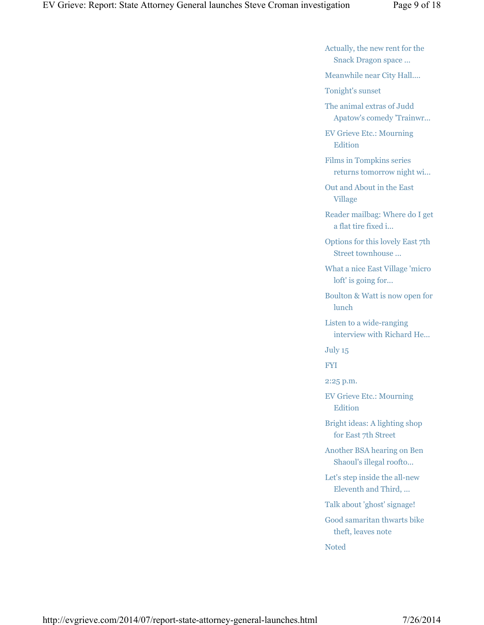Actually, the new rent for the Snack Dragon space ...

Meanwhile near City Hall....

Tonight's sunset

The animal extras of Judd Apatow's comedy 'Trainwr...

EV Grieve Etc.: Mourning Edition

Films in Tompkins series returns tomorrow night wi...

Out and About in the East Village

Reader mailbag: Where do I get a flat tire fixed i...

Options for this lovely East 7th Street townhouse ...

What a nice East Village 'micro loft' is going for...

Boulton & Watt is now open for lunch

Listen to a wide-ranging interview with Richard He...

July 15

FYI

2:25 p.m.

EV Grieve Etc.: Mourning Edition

Bright ideas: A lighting shop for East 7th Street

Another BSA hearing on Ben Shaoul's illegal roofto...

Let's step inside the all-new Eleventh and Third, ...

Talk about 'ghost' signage!

Good samaritan thwarts bike theft, leaves note

Noted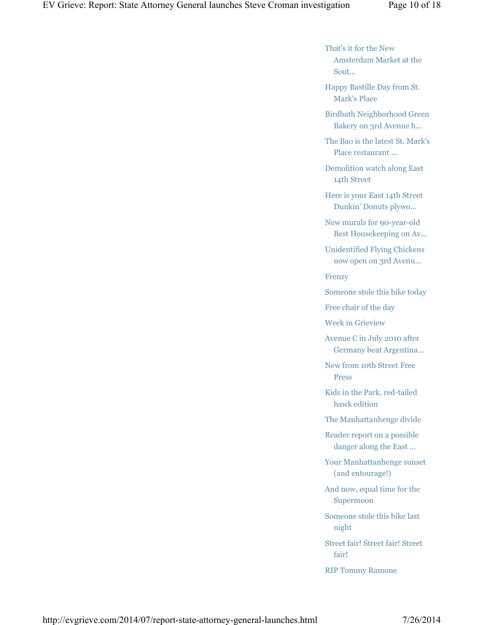That's it for the New Amsterdam Market at the Sout...

Happy Bastille Day from St. Mark's Place

Birdbath Neighborhood Green Bakery on 3rd Avenue h...

The Bao is the latest St. Mark's Place restaurant ...

Demolition watch along East 14th Street

Here is your East 14th Street Dunkin' Donuts plywo...

New murals for 90-year-old Best Housekeeping on Av...

Unidentified Flying Chickens now open on 3rd Avenu...

Frenzy

Someone stole this bike today

Free chair of the day

Week in Grieview

Avenue C in July 2010 after Germany beat Argentina...

New from 10th Street Free Press

Kids in the Park, red-tailed hawk edition

The Manhattanhenge divide

Reader report on a possible danger along the East ...

Your Manhattanhenge sunset (and entourage!)

And now, equal time for the Supermoon

Someone stole this bike last night

Street fair! Street fair! Street fair!

RIP Tommy Ramone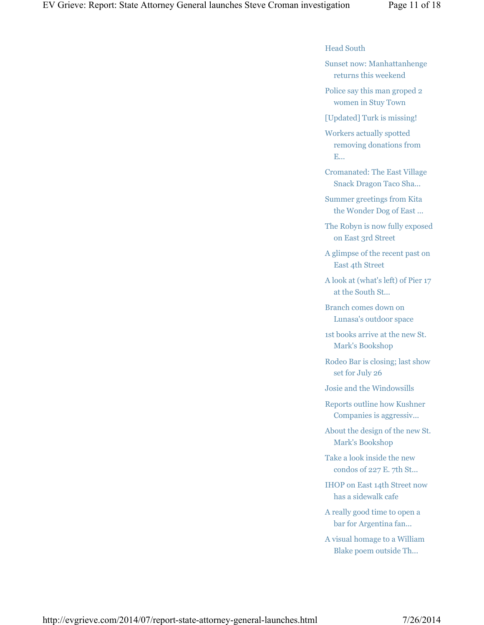### Head South

Sunset now: Manhattanhenge returns this weekend

Police say this man groped 2 women in Stuy Town

[Updated] Turk is missing!

Workers actually spotted removing donations from E...

Cromanated: The East Village Snack Dragon Taco Sha...

Summer greetings from Kita the Wonder Dog of East ...

The Robyn is now fully exposed on East 3rd Street

A glimpse of the recent past on East 4th Street

A look at (what's left) of Pier 17 at the South St...

Branch comes down on Lunasa's outdoor space

1st books arrive at the new St. Mark's Bookshop

Rodeo Bar is closing; last show set for July 26

Josie and the Windowsills

Reports outline how Kushner Companies is aggressiv...

About the design of the new St. Mark's Bookshop

Take a look inside the new condos of 227 E. 7th St...

IHOP on East 14th Street now has a sidewalk cafe

A really good time to open a bar for Argentina fan...

A visual homage to a William Blake poem outside Th...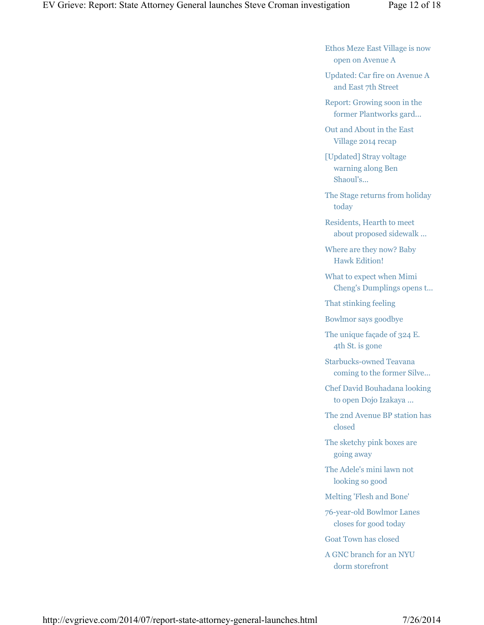Ethos Meze East Village is now open on Avenue A

Updated: Car fire on Avenue A and East 7th Street

Report: Growing soon in the former Plantworks gard...

Out and About in the East Village 2014 recap

[Updated] Stray voltage warning along Ben Shaoul's...

The Stage returns from holiday today

Residents, Hearth to meet about proposed sidewalk ...

Where are they now? Baby Hawk Edition!

What to expect when Mimi Cheng's Dumplings opens t...

That stinking feeling

Bowlmor says goodbye

The unique façade of 324 E. 4th St. is gone

Starbucks-owned Teavana coming to the former Silve...

Chef David Bouhadana looking to open Dojo Izakaya ...

The 2nd Avenue BP station has closed

The sketchy pink boxes are going away

The Adele's mini lawn not looking so good

Melting 'Flesh and Bone'

76-year-old Bowlmor Lanes closes for good today

Goat Town has closed

A GNC branch for an NYU dorm storefront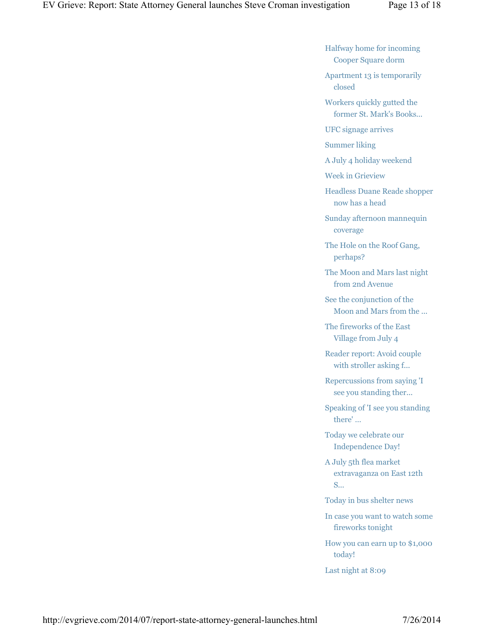Halfway home for incoming Cooper Square dorm

Apartment 13 is temporarily closed

Workers quickly gutted the former St. Mark's Books...

UFC signage arrives

Summer liking

A July 4 holiday weekend

Week in Grieview

Headless Duane Reade shopper now has a head

Sunday afternoon mannequin coverage

The Hole on the Roof Gang, perhaps?

The Moon and Mars last night from 2nd Avenue

See the conjunction of the Moon and Mars from the ...

The fireworks of the East Village from July 4

Reader report: Avoid couple with stroller asking f...

Repercussions from saying 'I see you standing ther...

Speaking of 'I see you standing there' …

Today we celebrate our Independence Day!

A July 5th flea market extravaganza on East 12th S...

Today in bus shelter news

In case you want to watch some fireworks tonight

How you can earn up to \$1,000 today!

Last night at 8:09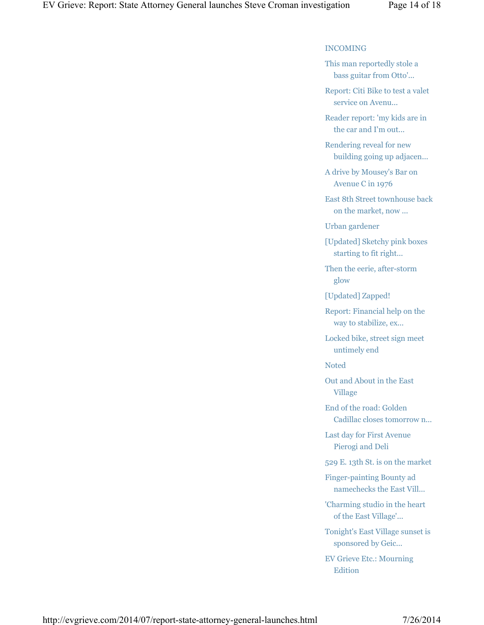### INCOMING

This man reportedly stole a bass guitar from Otto'...

Report: Citi Bike to test a valet service on Avenu...

Reader report: 'my kids are in the car and I'm out...

Rendering reveal for new building going up adjacen...

A drive by Mousey's Bar on Avenue C in 1976

East 8th Street townhouse back on the market, now ...

Urban gardener

[Updated] Sketchy pink boxes starting to fit right...

Then the eerie, after-storm glow

[Updated] Zapped!

Report: Financial help on the way to stabilize, ex...

Locked bike, street sign meet untimely end

Noted

Out and About in the East Village

End of the road: Golden Cadillac closes tomorrow n...

Last day for First Avenue Pierogi and Deli

529 E. 13th St. is on the market

Finger-painting Bounty ad namechecks the East Vill...

'Charming studio in the heart of the East Village'...

Tonight's East Village sunset is sponsored by Geic...

EV Grieve Etc.: Mourning Edition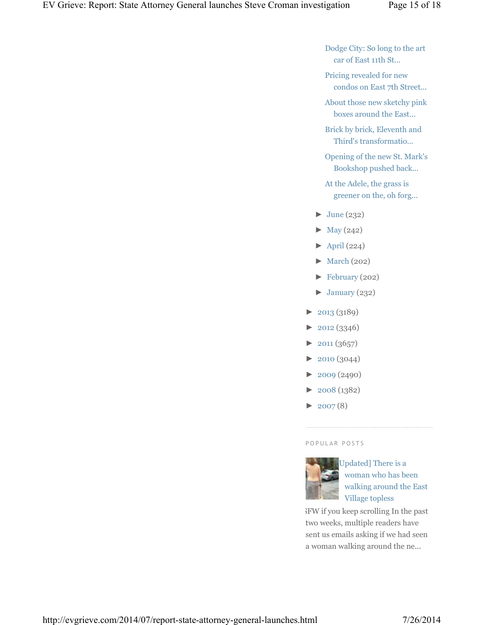Dodge City: So long to the art car of East 11th St...

- Pricing revealed for new condos on East 7th Street...
- About those new sketchy pink boxes around the East...
- Brick by brick, Eleventh and Third's transformatio...
- Opening of the new St. Mark's Bookshop pushed back...
- At the Adele, the grass is greener on the, oh forg...
- $\blacktriangleright$  June (232)
- $\blacktriangleright$  May (242)
- $\blacktriangleright$  April (224)
- $\blacktriangleright$  March (202)
- ► February (202)
- $\blacktriangleright$  January (232)
- ► 2013 (3189)
- $\blacktriangleright$  2012 (3346)
- $\blacktriangleright$  2011 (3657)
- ► 2010 (3044)
- $\blacktriangleright$  2009 (2490)
- ► 2008 (1382)
- $\blacktriangleright$  2007(8)

### P O P U L A R P O S T S



Updated] There is a woman who has been walking around the East Village topless

NSFW if you keep scrolling In the past two weeks, multiple readers have sent us emails asking if we had seen a woman walking around the ne...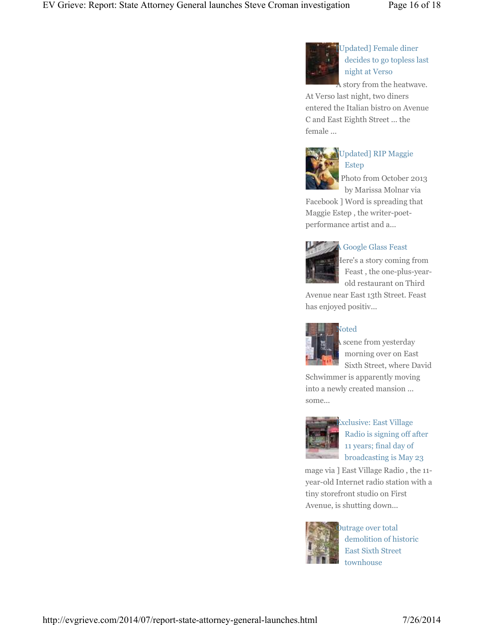

[Updated] Female diner decides to go topless last night at Verso

A story from the heatwave. At Verso last night, two diners

entered the Italian bistro on Avenue C and East Eighth Street ... the female ...



# [Updated] RIP Maggie Estep

Photo from October 2013 by Marissa Molnar via

Facebook ] Word is spreading that Maggie Estep , the writer-poetperformance artist and a...



# A Google Glass Feast

Here's a story coming from Feast , the one-plus-yearold restaurant on Third

Avenue near East 13th Street. Feast has enjoyed positiv...



# Noted

scene from yesterday morning over on East Sixth Street, where David

Schwimmer is apparently moving into a newly created mansion ... some...



Exclusive: East Village Radio is signing off after 11 years; final day of broadcasting is May 23

mage via ] East Village Radio, the 11year-old Internet radio station with a tiny storefront studio on First Avenue, is shutting down...



**Outrage over total** demolition of historic East Sixth Street townhouse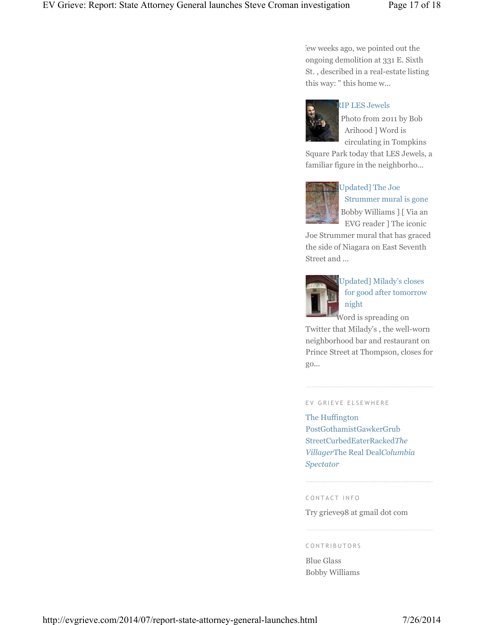few weeks ago, we pointed out the ongoing demolition at 331 E. Sixth St. , described in a real-estate listing this way: " this home w...



### RIP LES Jewels

Photo from 2011 by Bob Arihood ] Word is circulating in Tompkins

Square Park today that LES Jewels, a familiar figure in the neighborho...



# [Updated] The Joe Strummer mural is gone [ Bobby Williams ] [ Via an EVG reader ] The iconic

Joe Strummer mural that has graced the side of Niagara on East Seventh Street and ...



[Updated] Milady's closes for good after tomorrow night

Word is spreading on Twitter that Milady's , the well-worn neighborhood bar and restaurant on Prince Street at Thompson, closes for go...

### EV GRIEVE ELSEWHERE

The Huffington PostGothamistGawkerGrub StreetCurbedEaterRacked*The Villager*The Real Deal*Columbia Spectator*

#### CONTACT INFO

Try grieve98 at gmail dot com

#### C O N T R I B U T O R S

Blue Glass Bobby Williams